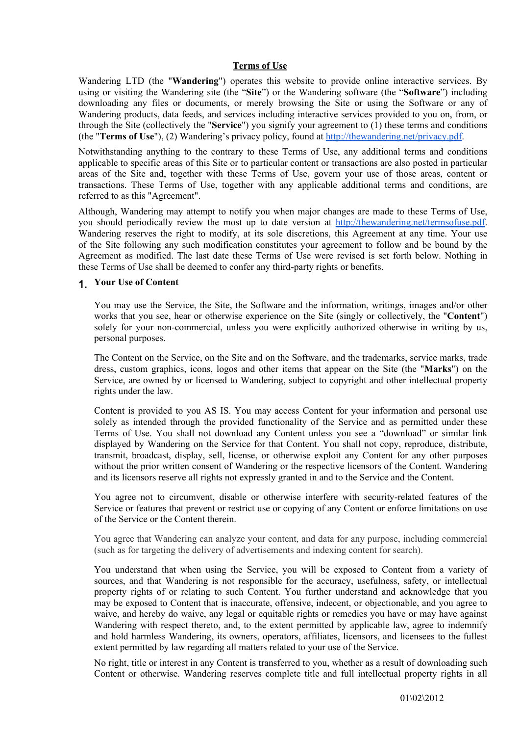## **Terms of Use**

Wandering LTD (the "**Wandering**") operates this website to provide online interactive services. By using or visiting the Wandering site (the "**Site**") or the Wandering software (the "**Software**") including downloading any files or documents, or merely browsing the Site or using the Software or any of Wandering products, data feeds, and services including interactive services provided to you on, from, or through the Site (collectively the "**Service**") you signify your agreement to (1) these terms and conditions (the "**Terms of Use**"), (2) Wandering's privacy policy, found at [http://thewandering.net/privacy.pdf.](http://thewandering.net/privacy.pdf)

Notwithstanding anything to the contrary to these Terms of Use, any additional terms and conditions applicable to specific areas of this Site or to particular content or transactions are also posted in particular areas of the Site and, together with these Terms of Use, govern your use of those areas, content or transactions. These Terms of Use, together with any applicable additional terms and conditions, are referred to as this "Agreement".

Although, Wandering may attempt to notify you when major changes are made to these Terms of Use, you should periodically review the most up to date version at <http://thewandering.net/termsofuse.pdf>. Wandering reserves the right to modify, at its sole discretions, this Agreement at any time. Your use of the Site following any such modification constitutes your agreement to follow and be bound by the Agreement as modified. The last date these Terms of Use were revised is set forth below. Nothing in these Terms of Use shall be deemed to confer any third-party rights or benefits.

## 1. **Your Use of Content**

You may use the Service, the Site, the Software and the information, writings, images and/or other works that you see, hear or otherwise experience on the Site (singly or collectively, the "**Content**") solely for your non-commercial, unless you were explicitly authorized otherwise in writing by us, personal purposes.

The Content on the Service, on the Site and on the Software, and the trademarks, service marks, trade dress, custom graphics, icons, logos and other items that appear on the Site (the "**Marks**") on the Service, are owned by or licensed to Wandering, subject to copyright and other intellectual property rights under the law.

Content is provided to you AS IS. You may access Content for your information and personal use solely as intended through the provided functionality of the Service and as permitted under these Terms of Use. You shall not download any Content unless you see a "download" or similar link displayed by Wandering on the Service for that Content. You shall not copy, reproduce, distribute, transmit, broadcast, display, sell, license, or otherwise exploit any Content for any other purposes without the prior written consent of Wandering or the respective licensors of the Content. Wandering and its licensors reserve all rights not expressly granted in and to the Service and the Content.

You agree not to circumvent, disable or otherwise interfere with security-related features of the Service or features that prevent or restrict use or copying of any Content or enforce limitations on use of the Service or the Content therein.

You agree that Wandering can analyze your content, and data for any purpose, including commercial (such as for targeting the delivery of advertisements and indexing content for search).

You understand that when using the Service, you will be exposed to Content from a variety of sources, and that Wandering is not responsible for the accuracy, usefulness, safety, or intellectual property rights of or relating to such Content. You further understand and acknowledge that you may be exposed to Content that is inaccurate, offensive, indecent, or objectionable, and you agree to waive, and hereby do waive, any legal or equitable rights or remedies you have or may have against Wandering with respect thereto, and, to the extent permitted by applicable law, agree to indemnify and hold harmless Wandering, its owners, operators, affiliates, licensors, and licensees to the fullest extent permitted by law regarding all matters related to your use of the Service.

No right, title or interest in any Content is transferred to you, whether as a result of downloading such Content or otherwise. Wandering reserves complete title and full intellectual property rights in all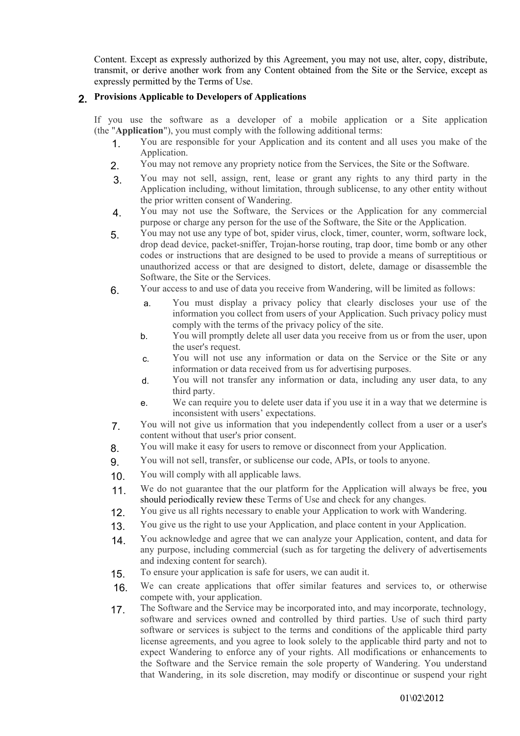Content. Except as expressly authorized by this Agreement, you may not use, alter, copy, distribute, transmit, or derive another work from any Content obtained from the Site or the Service, except as expressly permitted by the Terms of Use.

## 2. **Provisions Applicable to Developers of Applications**

If you use the software as a developer of a mobile application or a Site application (the "**Application**"), you must comply with the following additional terms:

- 1. You are responsible for your Application and its content and all uses you make of the Application.
- 2. You may not remove any propriety notice from the Services, the Site or the Software.
- 3. You may not sell, assign, rent, lease or grant any rights to any third party in the Application including, without limitation, through sublicense, to any other entity without the prior written consent of Wandering.
- 4. You may not use the Software, the Services or the Application for any commercial purpose or charge any person for the use of the Software, the Site or the Application.
- 5. You may not use any type of bot, spider virus, clock, timer, counter, worm, software lock, drop dead device, packet-sniffer, Trojan-horse routing, trap door, time bomb or any other codes or instructions that are designed to be used to provide a means of surreptitious or unauthorized access or that are designed to distort, delete, damage or disassemble the Software, the Site or the Services.
- 6. Your access to and use of data you receive from Wandering, will be limited as follows:
	- a. You must display a privacy policy that clearly discloses your use of the information you collect from users of your Application. Such privacy policy must comply with the terms of the privacy policy of the site.
	- b. You will promptly delete all user data you receive from us or from the user, upon the user's request.
	- c. You will not use any information or data on the Service or the Site or any information or data received from us for advertising purposes.
	- d. You will not transfer any information or data, including any user data, to any third party.
	- e. We can require you to delete user data if you use it in a way that we determine is inconsistent with users' expectations.
- 7. You will not give us information that you independently collect from a user or a user's content without that user's prior consent.
- 8. You will make it easy for users to remove or disconnect from your Application.
- 9. You will not sell, transfer, or sublicense our code, APIs, or tools to anyone.
- 10 You will comply with all applicable laws.
- 11. We do not guarantee that the our platform for the Application will always be free, you should periodically review these Terms of Use and check for any changes.
- 12. You give us all rights necessary to enable your Application to work with Wandering.
- 13. You give us the right to use your Application, and place content in your Application.
- 14. You acknowledge and agree that we can analyze your Application, content, and data for any purpose, including commercial (such as for targeting the delivery of advertisements and indexing content for search).
- 15. To ensure your application is safe for users, we can audit it.
- 16. We can create applications that offer similar features and services to, or otherwise compete with, your application.
- 17 The Software and the Service may be incorporated into, and may incorporate, technology, software and services owned and controlled by third parties. Use of such third party software or services is subject to the terms and conditions of the applicable third party license agreements, and you agree to look solely to the applicable third party and not to expect Wandering to enforce any of your rights. All modifications or enhancements to the Software and the Service remain the sole property of Wandering. You understand that Wandering, in its sole discretion, may modify or discontinue or suspend your right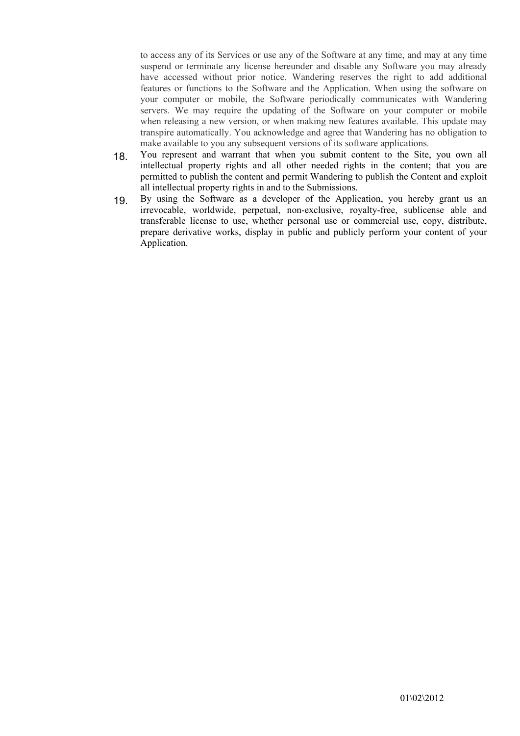to access any of its Services or use any of the Software at any time, and may at any time suspend or terminate any license hereunder and disable any Software you may already have accessed without prior notice. Wandering reserves the right to add additional features or functions to the Software and the Application. When using the software on your computer or mobile, the Software periodically communicates with Wandering servers. We may require the updating of the Software on your computer or mobile when releasing a new version, or when making new features available. This update may transpire automatically. You acknowledge and agree that Wandering has no obligation to make available to you any subsequent versions of its software applications.

- 18. You represent and warrant that when you submit content to the Site, you own all intellectual property rights and all other needed rights in the content; that you are permitted to publish the content and permit Wandering to publish the Content and exploit all intellectual property rights in and to the Submissions.
- 19. By using the Software as a developer of the Application, you hereby grant us an irrevocable, worldwide, perpetual, non-exclusive, royalty-free, sublicense able and transferable license to use, whether personal use or commercial use, copy, distribute, prepare derivative works, display in public and publicly perform your content of your Application.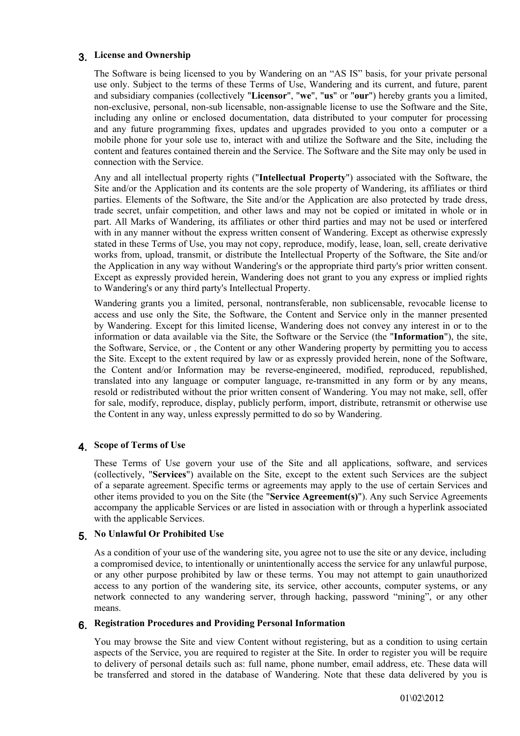## 3. **License and Ownership**

The Software is being licensed to you by Wandering on an "AS IS" basis, for your private personal use only. Subject to the terms of these Terms of Use, Wandering and its current, and future, parent and subsidiary companies (collectively "**Licensor**", "**we**", "**us**" or "**our**") hereby grants you a limited, non-exclusive, personal, non-sub licensable, non-assignable license to use the Software and the Site, including any online or enclosed documentation, data distributed to your computer for processing and any future programming fixes, updates and upgrades provided to you onto a computer or a mobile phone for your sole use to, interact with and utilize the Software and the Site, including the content and features contained therein and the Service. The Software and the Site may only be used in connection with the Service.

Any and all intellectual property rights ("**Intellectual Property**") associated with the Software, the Site and/or the Application and its contents are the sole property of Wandering, its affiliates or third parties. Elements of the Software, the Site and/or the Application are also protected by trade dress, trade secret, unfair competition, and other laws and may not be copied or imitated in whole or in part. All Marks of Wandering, its affiliates or other third parties and may not be used or interfered with in any manner without the express written consent of Wandering. Except as otherwise expressly stated in these Terms of Use, you may not copy, reproduce, modify, lease, loan, sell, create derivative works from, upload, transmit, or distribute the Intellectual Property of the Software, the Site and/or the Application in any way without Wandering's or the appropriate third party's prior written consent. Except as expressly provided herein, Wandering does not grant to you any express or implied rights to Wandering's or any third party's Intellectual Property.

Wandering grants you a limited, personal, nontransferable, non sublicensable, revocable license to access and use only the Site, the Software, the Content and Service only in the manner presented by Wandering. Except for this limited license, Wandering does not convey any interest in or to the information or data available via the Site, the Software or the Service (the "**Information**"), the site, the Software, Service, or , the Content or any other Wandering property by permitting you to access the Site. Except to the extent required by law or as expressly provided herein, none of the Software, the Content and/or Information may be reverse-engineered, modified, reproduced, republished, translated into any language or computer language, re-transmitted in any form or by any means, resold or redistributed without the prior written consent of Wandering. You may not make, sell, offer for sale, modify, reproduce, display, publicly perform, import, distribute, retransmit or otherwise use the Content in any way, unless expressly permitted to do so by Wandering.

## 4. **Scope of Terms of Use**

These Terms of Use govern your use of the Site and all applications, software, and services (collectively, "**Services**") available on the Site, except to the extent such Services are the subject of a separate agreement. Specific terms or agreements may apply to the use of certain Services and other items provided to you on the Site (the "**Service Agreement(s)**"). Any such Service Agreements accompany the applicable Services or are listed in association with or through a hyperlink associated with the applicable Services.

# 5. **No Unlawful Or Prohibited Use**

As a condition of your use of the wandering site, you agree not to use the site or any device, including a compromised device, to intentionally or unintentionally access the service for any unlawful purpose, or any other purpose prohibited by law or these terms. You may not attempt to gain unauthorized access to any portion of the wandering site, its service, other accounts, computer systems, or any network connected to any wandering server, through hacking, password "mining", or any other means.

## 6. **Registration Procedures and Providing Personal Information**

You may browse the Site and view Content without registering, but as a condition to using certain aspects of the Service, you are required to register at the Site. In order to register you will be require to delivery of personal details such as: full name, phone number, email address, etc. These data will be transferred and stored in the database of Wandering. Note that these data delivered by you is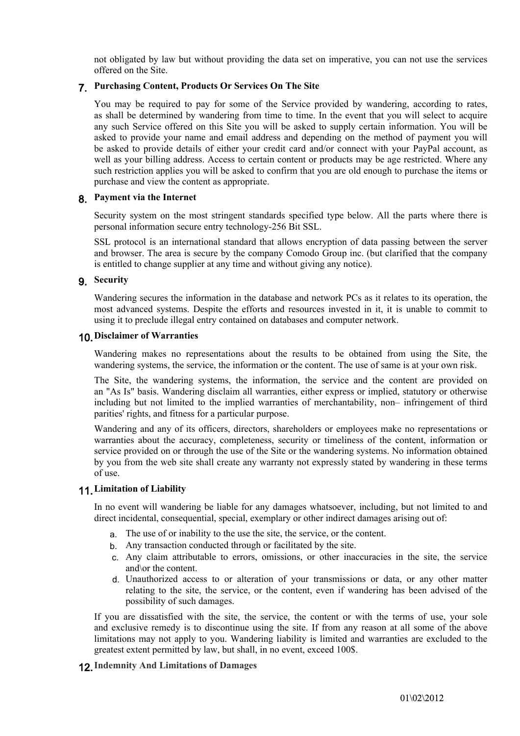not obligated by law but without providing the data set on imperative, you can not use the services offered on the Site.

## 7. **Purchasing Content, Products Or Services On The Site**

You may be required to pay for some of the Service provided by wandering, according to rates, as shall be determined by wandering from time to time. In the event that you will select to acquire any such Service offered on this Site you will be asked to supply certain information. You will be asked to provide your name and email address and depending on the method of payment you will be asked to provide details of either your credit card and/or connect with your PayPal account, as well as your billing address. Access to certain content or products may be age restricted. Where any such restriction applies you will be asked to confirm that you are old enough to purchase the items or purchase and view the content as appropriate.

#### 8. **Payment via the Internet**

Security system on the most stringent standards specified type below. All the parts where there is personal information secure entry technology-256 Bit SSL.

SSL protocol is an international standard that allows encryption of data passing between the server and browser. The area is secure by the company Comodo Group inc. (but clarified that the company is entitled to change supplier at any time and without giving any notice).

## 9. **Security**

Wandering secures the information in the database and network PCs as it relates to its operation, the most advanced systems. Despite the efforts and resources invested in it, it is unable to commit to using it to preclude illegal entry contained on databases and computer network.

#### 10.**Disclaimer of Warranties**

Wandering makes no representations about the results to be obtained from using the Site, the wandering systems, the service, the information or the content. The use of same is at your own risk.

The Site, the wandering systems, the information, the service and the content are provided on an "As Is" basis. Wandering disclaim all warranties, either express or implied, statutory or otherwise including but not limited to the implied warranties of merchantability, non– infringement of third parities' rights, and fitness for a particular purpose.

Wandering and any of its officers, directors, shareholders or employees make no representations or warranties about the accuracy, completeness, security or timeliness of the content, information or service provided on or through the use of the Site or the wandering systems. No information obtained by you from the web site shall create any warranty not expressly stated by wandering in these terms of use.

## 11.**Limitation of Liability**

In no event will wandering be liable for any damages whatsoever, including, but not limited to and direct incidental, consequential, special, exemplary or other indirect damages arising out of:

- a. The use of or inability to the use the site, the service, or the content.
- b. Any transaction conducted through or facilitated by the site.
- c. Any claim attributable to errors, omissions, or other inaccuracies in the site, the service and\or the content.
- d. Unauthorized access to or alteration of your transmissions or data, or any other matter relating to the site, the service, or the content, even if wandering has been advised of the possibility of such damages.

If you are dissatisfied with the site, the service, the content or with the terms of use, your sole and exclusive remedy is to discontinue using the site. If from any reason at all some of the above limitations may not apply to you. Wandering liability is limited and warranties are excluded to the greatest extent permitted by law, but shall, in no event, exceed 100\$.

## 12.**Indemnity And Limitations of Damages**